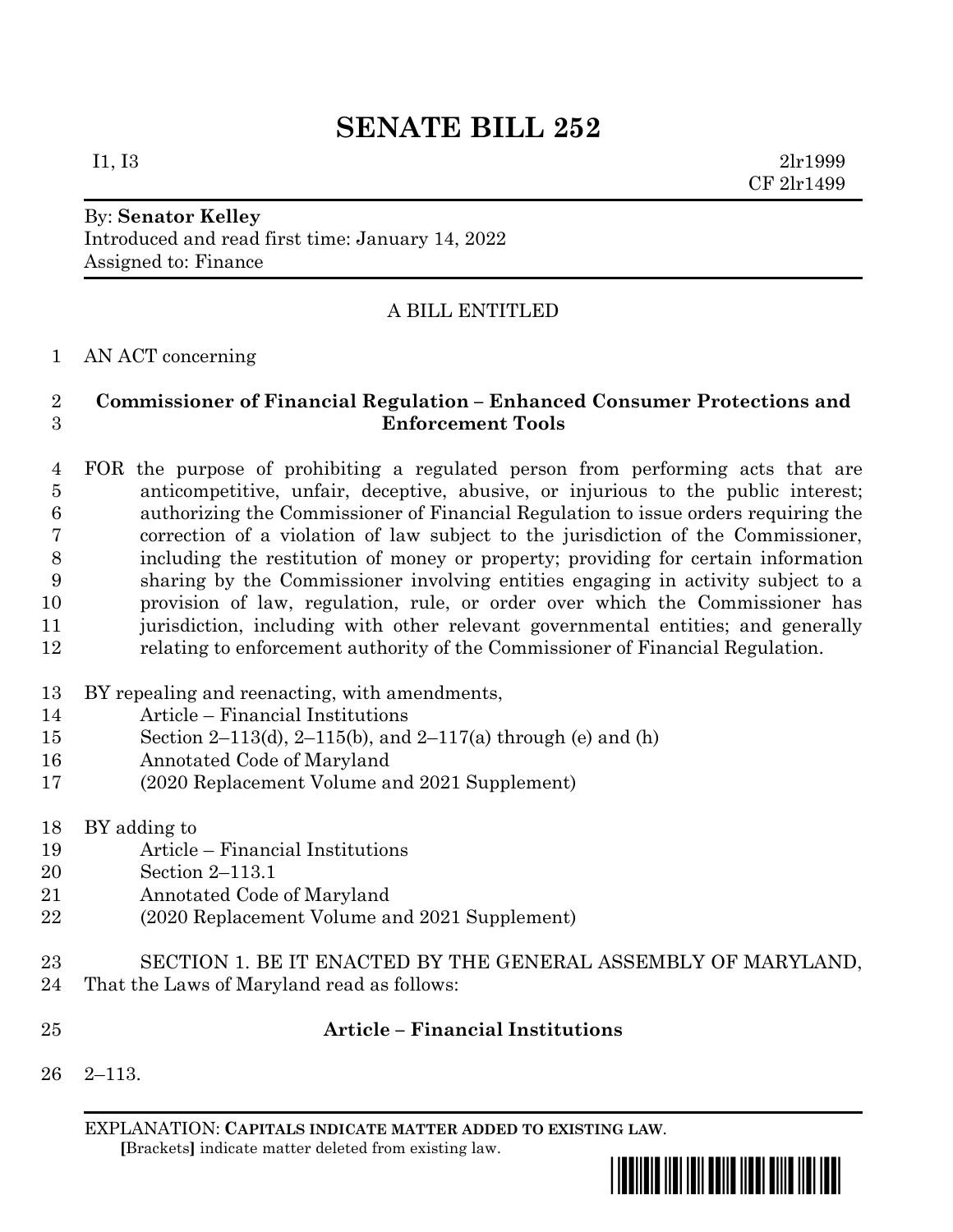# **SENATE BILL 252**

By: **Senator Kelley**

Introduced and read first time: January 14, 2022 Assigned to: Finance

## A BILL ENTITLED

### AN ACT concerning

### **Commissioner of Financial Regulation – Enhanced Consumer Protections and Enforcement Tools**

 FOR the purpose of prohibiting a regulated person from performing acts that are anticompetitive, unfair, deceptive, abusive, or injurious to the public interest; authorizing the Commissioner of Financial Regulation to issue orders requiring the correction of a violation of law subject to the jurisdiction of the Commissioner, including the restitution of money or property; providing for certain information sharing by the Commissioner involving entities engaging in activity subject to a provision of law, regulation, rule, or order over which the Commissioner has jurisdiction, including with other relevant governmental entities; and generally relating to enforcement authority of the Commissioner of Financial Regulation.

- BY repealing and reenacting, with amendments,
- Article Financial Institutions
- Section 2–113(d), 2–115(b), and 2–117(a) through (e) and (h)
- Annotated Code of Maryland
- (2020 Replacement Volume and 2021 Supplement)
- BY adding to
- Article Financial Institutions
- Section 2–113.1
- Annotated Code of Maryland
- (2020 Replacement Volume and 2021 Supplement)
- SECTION 1. BE IT ENACTED BY THE GENERAL ASSEMBLY OF MARYLAND,
- That the Laws of Maryland read as follows:
- 

## **Article – Financial Institutions**

2–113.

EXPLANATION: **CAPITALS INDICATE MATTER ADDED TO EXISTING LAW**.  **[**Brackets**]** indicate matter deleted from existing law.



I1, I3 2lr1999 CF 2lr1499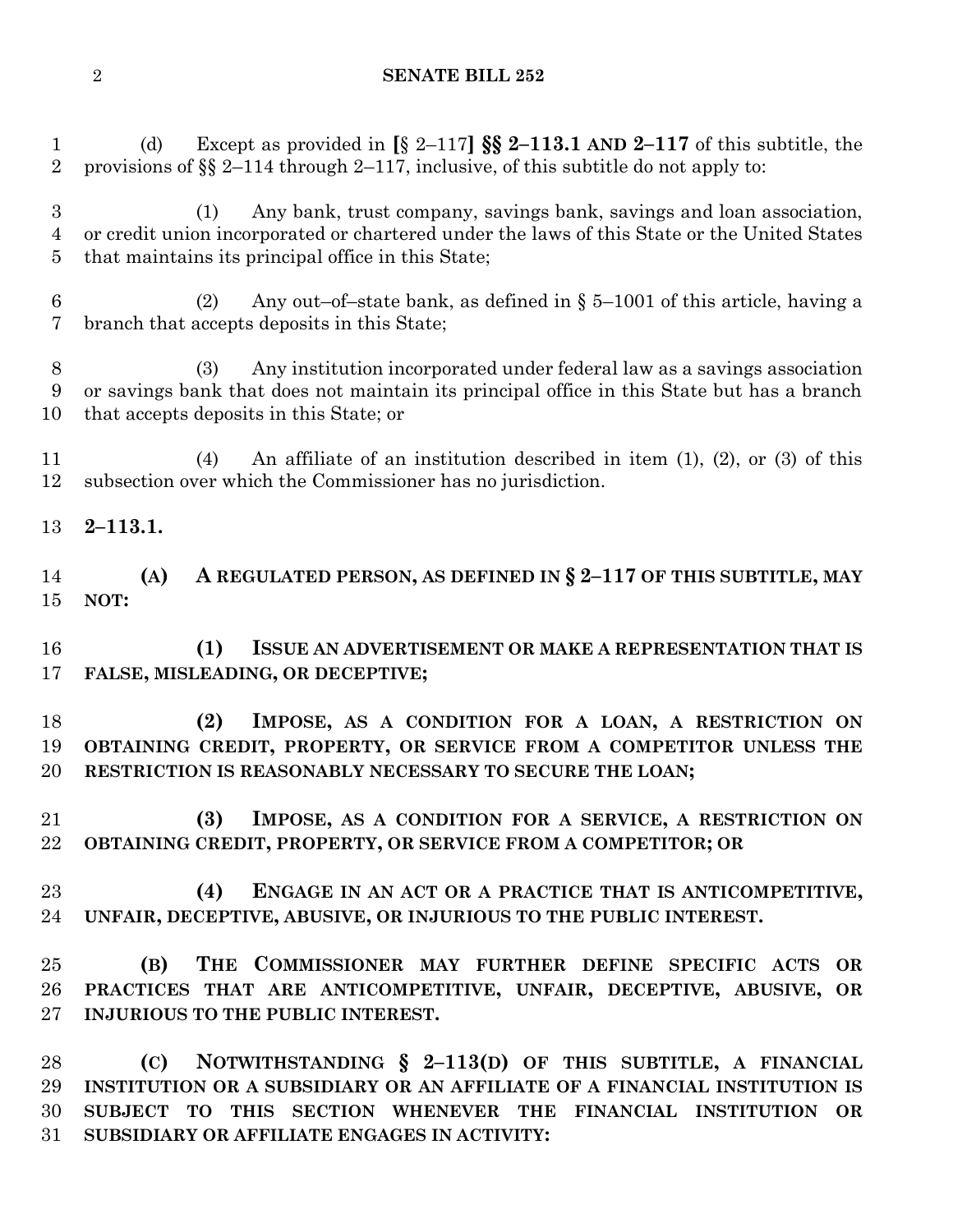#### **SENATE BILL 252**

 (d) Except as provided in **[**§ 2–117**] §§ 2–113.1 AND 2–117** of this subtitle, the provisions of §§ 2–114 through 2–117, inclusive, of this subtitle do not apply to:

 (1) Any bank, trust company, savings bank, savings and loan association, or credit union incorporated or chartered under the laws of this State or the United States that maintains its principal office in this State;

6 (2) Any out–of–state bank, as defined in  $\S$  5–1001 of this article, having a branch that accepts deposits in this State;

 (3) Any institution incorporated under federal law as a savings association or savings bank that does not maintain its principal office in this State but has a branch that accepts deposits in this State; or

 (4) An affiliate of an institution described in item (1), (2), or (3) of this subsection over which the Commissioner has no jurisdiction.

**2–113.1.**

 **(A) A REGULATED PERSON, AS DEFINED IN § 2–117 OF THIS SUBTITLE, MAY NOT:**

 **(1) ISSUE AN ADVERTISEMENT OR MAKE A REPRESENTATION THAT IS FALSE, MISLEADING, OR DECEPTIVE;**

 **(2) IMPOSE, AS A CONDITION FOR A LOAN, A RESTRICTION ON OBTAINING CREDIT, PROPERTY, OR SERVICE FROM A COMPETITOR UNLESS THE RESTRICTION IS REASONABLY NECESSARY TO SECURE THE LOAN;**

 **(3) IMPOSE, AS A CONDITION FOR A SERVICE, A RESTRICTION ON OBTAINING CREDIT, PROPERTY, OR SERVICE FROM A COMPETITOR; OR**

 **(4) ENGAGE IN AN ACT OR A PRACTICE THAT IS ANTICOMPETITIVE, UNFAIR, DECEPTIVE, ABUSIVE, OR INJURIOUS TO THE PUBLIC INTEREST.**

 **(B) THE COMMISSIONER MAY FURTHER DEFINE SPECIFIC ACTS OR PRACTICES THAT ARE ANTICOMPETITIVE, UNFAIR, DECEPTIVE, ABUSIVE, OR INJURIOUS TO THE PUBLIC INTEREST.**

 **(C) NOTWITHSTANDING § 2–113(D) OF THIS SUBTITLE, A FINANCIAL INSTITUTION OR A SUBSIDIARY OR AN AFFILIATE OF A FINANCIAL INSTITUTION IS SUBJECT TO THIS SECTION WHENEVER THE FINANCIAL INSTITUTION OR SUBSIDIARY OR AFFILIATE ENGAGES IN ACTIVITY:**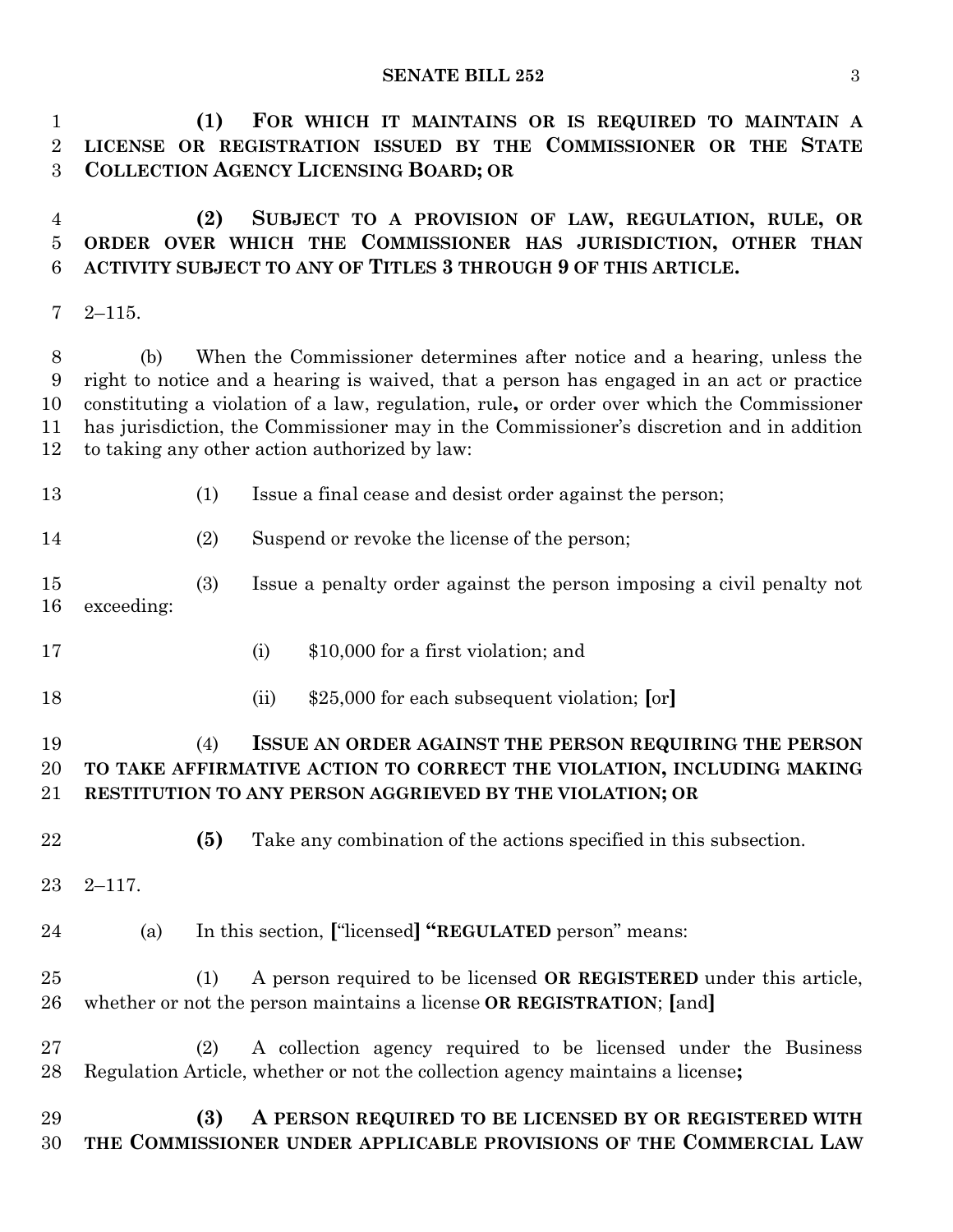**SENATE BILL 252** 3

 **(1) FOR WHICH IT MAINTAINS OR IS REQUIRED TO MAINTAIN A LICENSE OR REGISTRATION ISSUED BY THE COMMISSIONER OR THE STATE COLLECTION AGENCY LICENSING BOARD; OR**

 **(2) SUBJECT TO A PROVISION OF LAW, REGULATION, RULE, OR ORDER OVER WHICH THE COMMISSIONER HAS JURISDICTION, OTHER THAN ACTIVITY SUBJECT TO ANY OF TITLES 3 THROUGH 9 OF THIS ARTICLE.**

2–115.

 (b) When the Commissioner determines after notice and a hearing, unless the right to notice and a hearing is waived, that a person has engaged in an act or practice constituting a violation of a law, regulation, rule**,** or order over which the Commissioner has jurisdiction, the Commissioner may in the Commissioner's discretion and in addition to taking any other action authorized by law:

(1) Issue a final cease and desist order against the person;

(2) Suspend or revoke the license of the person;

- (3) Issue a penalty order against the person imposing a civil penalty not exceeding:
- (i) \$10,000 for a first violation; and
- 
- (ii) \$25,000 for each subsequent violation; **[**or**]**

## (4) **ISSUE AN ORDER AGAINST THE PERSON REQUIRING THE PERSON TO TAKE AFFIRMATIVE ACTION TO CORRECT THE VIOLATION, INCLUDING MAKING RESTITUTION TO ANY PERSON AGGRIEVED BY THE VIOLATION; OR**

- **(5)** Take any combination of the actions specified in this subsection.
- 2–117.
- (a) In this section, **[**"licensed**] "REGULATED** person" means:

 (1) A person required to be licensed **OR REGISTERED** under this article, whether or not the person maintains a license **OR REGISTRATION**; **[**and**]**

 (2) A collection agency required to be licensed under the Business Regulation Article, whether or not the collection agency maintains a license**;**

 **(3) A PERSON REQUIRED TO BE LICENSED BY OR REGISTERED WITH THE COMMISSIONER UNDER APPLICABLE PROVISIONS OF THE COMMERCIAL LAW**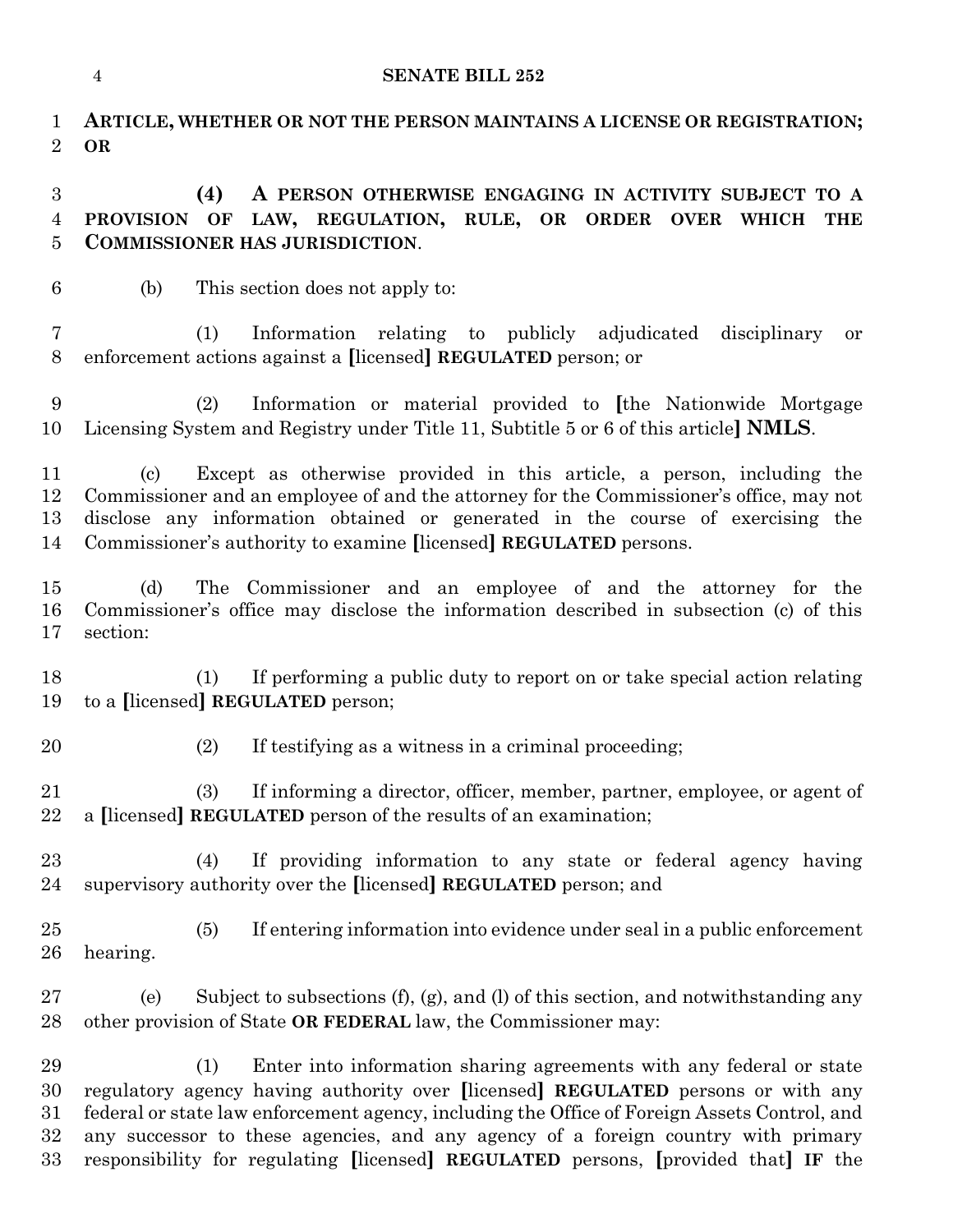|                            | <b>SENATE BILL 252</b><br>$\overline{4}$                                                                                                                                                                                                                                                                                       |
|----------------------------|--------------------------------------------------------------------------------------------------------------------------------------------------------------------------------------------------------------------------------------------------------------------------------------------------------------------------------|
| 1<br>$\overline{2}$        | ARTICLE, WHETHER OR NOT THE PERSON MAINTAINS A LICENSE OR REGISTRATION;<br><b>OR</b>                                                                                                                                                                                                                                           |
| $\boldsymbol{3}$<br>4<br>5 | (4)<br>A PERSON OTHERWISE ENGAGING IN ACTIVITY SUBJECT TO A<br><b>PROVISION</b><br>OF<br>LAW, REGULATION, RULE, OR ORDER OVER<br>WHICH<br>THE<br><b>COMMISSIONER HAS JURISDICTION.</b>                                                                                                                                         |
| $6\phantom{.}6$            | (b)<br>This section does not apply to:                                                                                                                                                                                                                                                                                         |
| 7<br>$8\,$                 | (1)<br>Information relating to publicly adjudicated disciplinary<br><b>or</b><br>enforcement actions against a [licensed] REGULATED person; or                                                                                                                                                                                 |
| 9<br>10                    | (2)<br>Information or material provided to [the Nationwide Mortgage<br>Licensing System and Registry under Title 11, Subtitle 5 or 6 of this article] NMLS.                                                                                                                                                                    |
| 11<br>12<br>13<br>14       | Except as otherwise provided in this article, a person, including the<br>(c)<br>Commissioner and an employee of and the attorney for the Commissioner's office, may not<br>disclose any information obtained or generated in the course of exercising the<br>Commissioner's authority to examine [licensed] REGULATED persons. |
| 15<br>16<br>17             | The Commissioner and an employee of and the attorney for the<br>(d)<br>Commissioner's office may disclose the information described in subsection (c) of this<br>section:                                                                                                                                                      |
| 18<br>19                   | If performing a public duty to report on or take special action relating<br>(1)<br>to a [licensed] REGULATED person;                                                                                                                                                                                                           |
| 20                         | If testifying as a witness in a criminal proceeding;<br>(2)                                                                                                                                                                                                                                                                    |
| 21<br>22                   | If informing a director, officer, member, partner, employee, or agent of<br>(3)<br>a [licensed] REGULATED person of the results of an examination;                                                                                                                                                                             |
| $23\,$<br>24               | (4)<br>If providing information to any state or federal agency having<br>supervisory authority over the [licensed] REGULATED person; and                                                                                                                                                                                       |
| 25<br>26                   | If entering information into evidence under seal in a public enforcement<br>(5)<br>hearing.                                                                                                                                                                                                                                    |
| $27\,$<br>28               | Subject to subsections (f), (g), and (l) of this section, and notwithstanding any<br>(e)<br>other provision of State OR FEDERAL law, the Commissioner may:                                                                                                                                                                     |
| 29<br>30<br>01             | Enter into information sharing agreements with any federal or state<br>(1)<br>regulatory agency having authority over [licensed] REGULATED persons or with any<br>folguel or state law expressment exercy including the Office of Fereign Agents Control and                                                                   |

 federal or state law enforcement agency, including the Office of Foreign Assets Control, and any successor to these agencies, and any agency of a foreign country with primary responsibility for regulating **[**licensed**] REGULATED** persons, **[**provided that**] IF** the